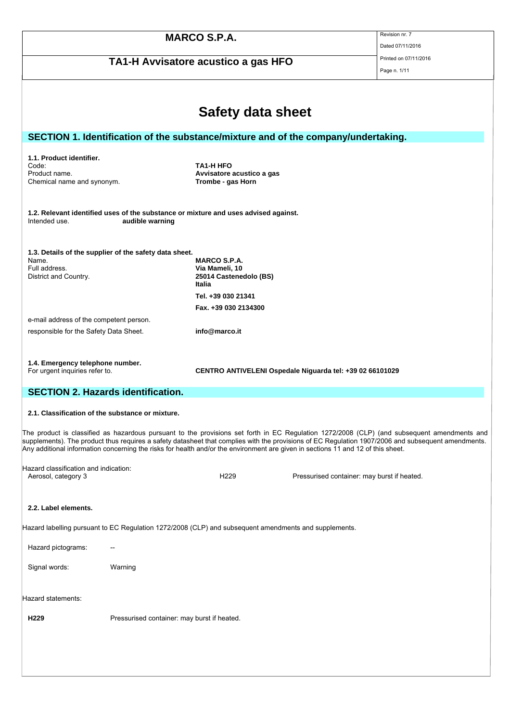|                                                                                                                                  | <b>MARCO S.P.A.</b>                                      | Revision nr. 7<br>Dated 07/11/2016                                                                                                                                                                                                                                                                |
|----------------------------------------------------------------------------------------------------------------------------------|----------------------------------------------------------|---------------------------------------------------------------------------------------------------------------------------------------------------------------------------------------------------------------------------------------------------------------------------------------------------|
| TA1-H Avvisatore acustico a gas HFO                                                                                              |                                                          | Printed on 07/11/2016                                                                                                                                                                                                                                                                             |
|                                                                                                                                  | Page n. 1/11                                             |                                                                                                                                                                                                                                                                                                   |
|                                                                                                                                  |                                                          |                                                                                                                                                                                                                                                                                                   |
|                                                                                                                                  |                                                          |                                                                                                                                                                                                                                                                                                   |
|                                                                                                                                  | <b>Safety data sheet</b>                                 |                                                                                                                                                                                                                                                                                                   |
| SECTION 1. Identification of the substance/mixture and of the company/undertaking.                                               |                                                          |                                                                                                                                                                                                                                                                                                   |
|                                                                                                                                  |                                                          |                                                                                                                                                                                                                                                                                                   |
| 1.1. Product identifier.<br>Code:                                                                                                | <b>TA1-H HFO</b>                                         |                                                                                                                                                                                                                                                                                                   |
| Product name.<br>Chemical name and synonym.                                                                                      | Avvisatore acustico a gas<br>Trombe - gas Horn           |                                                                                                                                                                                                                                                                                                   |
|                                                                                                                                  |                                                          |                                                                                                                                                                                                                                                                                                   |
| 1.2. Relevant identified uses of the substance or mixture and uses advised against.<br>Intended use.<br>audible warning          |                                                          |                                                                                                                                                                                                                                                                                                   |
|                                                                                                                                  |                                                          |                                                                                                                                                                                                                                                                                                   |
| 1.3. Details of the supplier of the safety data sheet.<br>Name.                                                                  | <b>MARCO S.P.A.</b>                                      |                                                                                                                                                                                                                                                                                                   |
| Full address.                                                                                                                    | Via Mameli, 10                                           |                                                                                                                                                                                                                                                                                                   |
| District and Country.                                                                                                            | 25014 Castenedolo (BS)<br>Italia                         |                                                                                                                                                                                                                                                                                                   |
|                                                                                                                                  | Tel. +39 030 21341                                       |                                                                                                                                                                                                                                                                                                   |
|                                                                                                                                  | Fax. +39 030 2134300                                     |                                                                                                                                                                                                                                                                                                   |
| e-mail address of the competent person.                                                                                          |                                                          |                                                                                                                                                                                                                                                                                                   |
| responsible for the Safety Data Sheet.                                                                                           | info@marco.it                                            |                                                                                                                                                                                                                                                                                                   |
| 1.4. Emergency telephone number.<br>For urgent inquiries refer to.                                                               | CENTRO ANTIVELENI Ospedale Niguarda tel: +39 02 66101029 |                                                                                                                                                                                                                                                                                                   |
| <b>SECTION 2. Hazards identification.</b>                                                                                        |                                                          |                                                                                                                                                                                                                                                                                                   |
| 2.1. Classification of the substance or mixture.                                                                                 |                                                          |                                                                                                                                                                                                                                                                                                   |
| Any additional information concerning the risks for health and/or the environment are given in sections 11 and 12 of this sheet. |                                                          | The product is classified as hazardous pursuant to the provisions set forth in EC Regulation 1272/2008 (CLP) (and subsequent amendments and<br>supplements). The product thus requires a safety datasheet that complies with the provisions of EC Regulation 1907/2006 and subsequent amendments. |
| Hazard classification and indication:                                                                                            |                                                          |                                                                                                                                                                                                                                                                                                   |
| Aerosol, category 3                                                                                                              | H <sub>229</sub>                                         | Pressurised container: may burst if heated.                                                                                                                                                                                                                                                       |
|                                                                                                                                  |                                                          |                                                                                                                                                                                                                                                                                                   |
| 2.2. Label elements.                                                                                                             |                                                          |                                                                                                                                                                                                                                                                                                   |
| Hazard labelling pursuant to EC Regulation 1272/2008 (CLP) and subsequent amendments and supplements.                            |                                                          |                                                                                                                                                                                                                                                                                                   |
| Hazard pictograms:                                                                                                               |                                                          |                                                                                                                                                                                                                                                                                                   |
| Signal words:<br>Warning                                                                                                         |                                                          |                                                                                                                                                                                                                                                                                                   |
|                                                                                                                                  |                                                          |                                                                                                                                                                                                                                                                                                   |
| Hazard statements:                                                                                                               |                                                          |                                                                                                                                                                                                                                                                                                   |
|                                                                                                                                  |                                                          |                                                                                                                                                                                                                                                                                                   |
| H <sub>229</sub><br>Pressurised container: may burst if heated.                                                                  |                                                          |                                                                                                                                                                                                                                                                                                   |
|                                                                                                                                  |                                                          |                                                                                                                                                                                                                                                                                                   |
|                                                                                                                                  |                                                          |                                                                                                                                                                                                                                                                                                   |
|                                                                                                                                  |                                                          |                                                                                                                                                                                                                                                                                                   |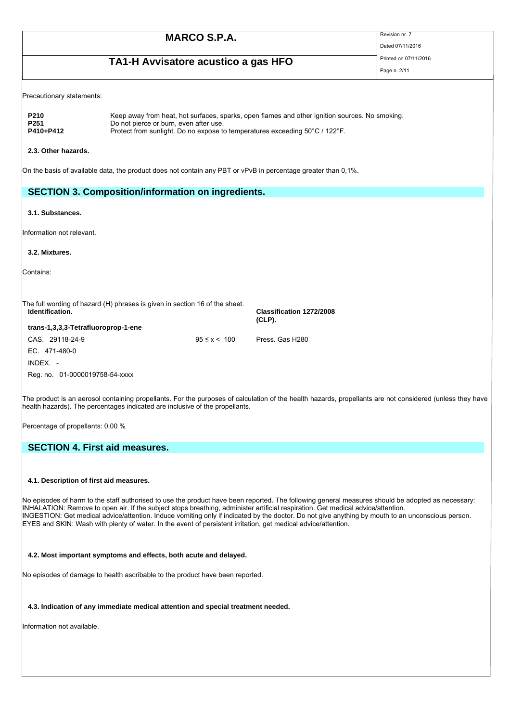## TA1-H Avvisatore acustico a gas HFO<br>Printed on 07/11/2016

Dated 07/11/2016

Page n. 2/11

Precautionary statements:

| P <sub>210</sub> | Keep away from heat, hot surfaces, sparks, open flames and other ignition sources. No smoking. |
|------------------|------------------------------------------------------------------------------------------------|
| P <sub>251</sub> | Do not pierce or burn, even after use.                                                         |
| P410+P412        | Protect from sunlight. Do no expose to temperatures exceeding 50°C / 122°F.                    |

### **2.3. Other hazards.**

On the basis of available data, the product does not contain any PBT or vPvB in percentage greater than 0,1%.

### **SECTION 3. Composition/information on ingredients.**

**3.1. Substances.**

Information not relevant.

**3.2. Mixtures.**

Contains:

The full wording of hazard (H) phrases is given in section 16 of the sheet. **Identification. Classification 1272/2008** 

**(CLP). trans-1,3,3,3-Tetrafluoroprop-1-ene** CAS. 29118-24-9 95 ≤ x < 100 Press. Gas H280 EC. 471-480-0 INDEX. - Reg. no. 01-0000019758-54-xxxx

The product is an aerosol containing propellants. For the purposes of calculation of the health hazards, propellants are not considered (unless they have health hazards). The percentages indicated are inclusive of the propellants.

Percentage of propellants: 0,00 %

### **SECTION 4. First aid measures.**

### **4.1. Description of first aid measures.**

No episodes of harm to the staff authorised to use the product have been reported. The following general measures should be adopted as necessary: INHALATION: Remove to open air. If the subject stops breathing, administer artificial respiration. Get medical advice/attention. INGESTION: Get medical advice/attention. Induce vomiting only if indicated by the doctor. Do not give anything by mouth to an unconscious person. EYES and SKIN: Wash with plenty of water. In the event of persistent irritation, get medical advice/attention.

### **4.2. Most important symptoms and effects, both acute and delayed.**

No episodes of damage to health ascribable to the product have been reported.

### **4.3. Indication of any immediate medical attention and special treatment needed.**

Information not available.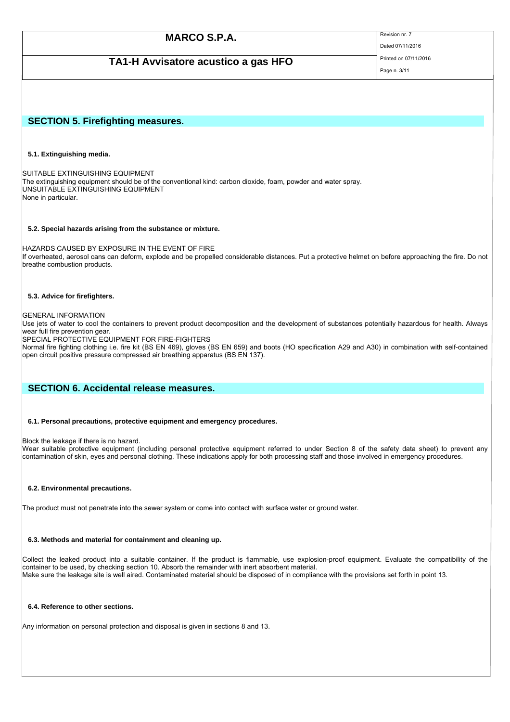Dated 07/11/2016

## TA1-H Avvisatore acustico a gas HFO<br>Printed on 07/11/2016

Page n. 3/11

### **SECTION 5. Firefighting measures.**

### **5.1. Extinguishing media.**

SUITABLE EXTINGUISHING EQUIPMENT The extinguishing equipment should be of the conventional kind: carbon dioxide, foam, powder and water spray. UNSUITABLE EXTINGUISHING EQUIPMENT None in particular.

#### **5.2. Special hazards arising from the substance or mixture.**

HAZARDS CAUSED BY EXPOSURE IN THE EVENT OF FIRE If overheated, aerosol cans can deform, explode and be propelled considerable distances. Put a protective helmet on before approaching the fire. Do not breathe combustion products.

### **5.3. Advice for firefighters.**

GENERAL INFORMATION

Use jets of water to cool the containers to prevent product decomposition and the development of substances potentially hazardous for health. Always wear full fire prevention gear.

SPECIAL PROTECTIVE EQUIPMENT FOR FIRE-FIGHTERS

Normal fire fighting clothing i.e. fire kit (BS EN 469), gloves (BS EN 659) and boots (HO specification A29 and A30) in combination with self-contained open circuit positive pressure compressed air breathing apparatus (BS EN 137).

### **SECTION 6. Accidental release measures.**

### **6.1. Personal precautions, protective equipment and emergency procedures.**

Block the leakage if there is no hazard.

Wear suitable protective equipment (including personal protective equipment referred to under Section 8 of the safety data sheet) to prevent any contamination of skin, eyes and personal clothing. These indications apply for both processing staff and those involved in emergency procedures.

### **6.2. Environmental precautions.**

The product must not penetrate into the sewer system or come into contact with surface water or ground water.

### **6.3. Methods and material for containment and cleaning up.**

Collect the leaked product into a suitable container. If the product is flammable, use explosion-proof equipment. Evaluate the compatibility of the container to be used, by checking section 10. Absorb the remainder with inert absorbent material. Make sure the leakage site is well aired. Contaminated material should be disposed of in compliance with the provisions set forth in point 13.

### **6.4. Reference to other sections.**

Any information on personal protection and disposal is given in sections 8 and 13.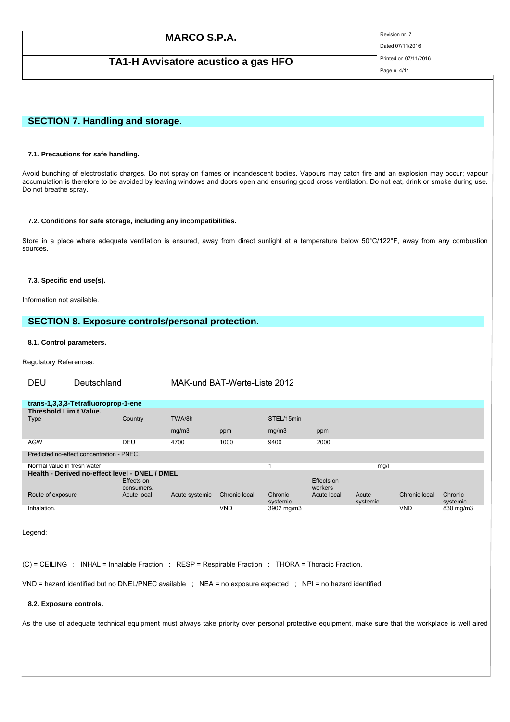## TA1-H Avvisatore acustico a gas HFO<br>Printed on 07/11/2016

Dated 07/11/2016

Page n. 4/11

### **SECTION 7. Handling and storage.**

### **7.1. Precautions for safe handling.**

Avoid bunching of electrostatic charges. Do not spray on flames or incandescent bodies. Vapours may catch fire and an explosion may occur; vapour accumulation is therefore to be avoided by leaving windows and doors open and ensuring good cross ventilation. Do not eat, drink or smoke during use. Do not breathe spray.

### **7.2. Conditions for safe storage, including any incompatibilities.**

Store in a place where adequate ventilation is ensured, away from direct sunlight at a temperature below 50°C/122°F, away from any combustion sources.

#### **7.3. Specific end use(s).**

Information not available.

### **SECTION 8. Exposure controls/personal protection.**

### **8.1. Control parameters.**

Regulatory References:

### DEU Deutschland MAK-und BAT-Werte-Liste 2012

| trans-1,3,3,3-Tetrafluoroprop-1-ene            |                          |                |               |                     |                       |                   |               |                     |
|------------------------------------------------|--------------------------|----------------|---------------|---------------------|-----------------------|-------------------|---------------|---------------------|
| <b>Threshold Limit Value.</b>                  |                          |                |               |                     |                       |                   |               |                     |
| Type                                           | Country                  | TWA/8h         |               | STEL/15min          |                       |                   |               |                     |
|                                                |                          | mg/m3          | ppm           | mg/m3               | ppm                   |                   |               |                     |
| <b>AGW</b>                                     | DEU                      | 4700           | 1000          | 9400                | 2000                  |                   |               |                     |
| Predicted no-effect concentration - PNEC.      |                          |                |               |                     |                       |                   |               |                     |
| Normal value in fresh water                    |                          |                |               |                     |                       | mg/l              |               |                     |
| Health - Derived no-effect level - DNEL / DMEL |                          |                |               |                     |                       |                   |               |                     |
|                                                | Effects on<br>consumers. |                |               |                     | Effects on<br>workers |                   |               |                     |
| Route of exposure                              | Acute local              | Acute systemic | Chronic local | Chronic<br>systemic | Acute local           | Acute<br>systemic | Chronic local | Chronic<br>systemic |
| Inhalation.                                    |                          |                | <b>VND</b>    | 3902 mg/m3          |                       |                   | <b>VND</b>    | 830 mg/m3           |
| Legend:                                        |                          |                |               |                     |                       |                   |               |                     |

 $(C)$  = CEILING ; INHAL = Inhalable Fraction ; RESP = Respirable Fraction ; THORA = Thoracic Fraction.

VND = hazard identified but no DNEL/PNEC available ; NEA = no exposure expected ; NPI = no hazard identified.

### **8.2. Exposure controls.**

As the use of adequate technical equipment must always take priority over personal protective equipment, make sure that the workplace is well aired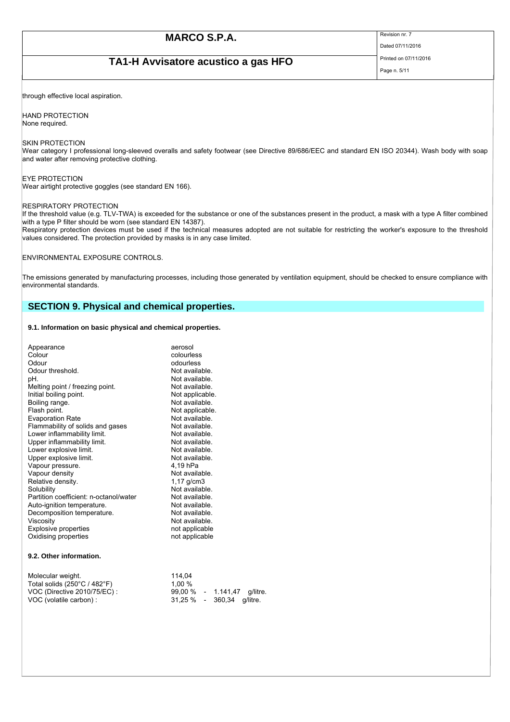## TA1-H Avvisatore acustico a gas HFO<br>Printed on 07/11/2016

Dated 07/11/2016

Page n. 5/11

through effective local aspiration.

HAND PROTECTION None required.

#### SKIN PROTECTION

Wear category I professional long-sleeved overalls and safety footwear (see Directive 89/686/EEC and standard EN ISO 20344). Wash body with soap and water after removing protective clothing.

#### EYE PROTECTION

Wear airtight protective goggles (see standard EN 166).

#### RESPIRATORY PROTECTION

If the threshold value (e.g. TLV-TWA) is exceeded for the substance or one of the substances present in the product, a mask with a type A filter combined with a type P filter should be worn (see standard EN 14387).

Respiratory protection devices must be used if the technical measures adopted are not suitable for restricting the worker's exposure to the threshold values considered. The protection provided by masks is in any case limited.

ENVIRONMENTAL EXPOSURE CONTROLS.

The emissions generated by manufacturing processes, including those generated by ventilation equipment, should be checked to ensure compliance with environmental standards.

### **SECTION 9. Physical and chemical properties.**

#### **9.1. Information on basic physical and chemical properties.**

| Appearance<br>Colour<br>Odour<br>Odour threshold.<br>pH.<br>Melting point / freezing point.<br>Initial boiling point.<br>Boiling range.<br>Flash point.<br><b>Evaporation Rate</b><br>Flammability of solids and gases<br>Lower inflammability limit.<br>Upper inflammability limit.<br>Lower explosive limit.<br>Upper explosive limit. | aerosol<br>colourless<br>odourless<br>Not available.<br>Not available.<br>Not available.<br>Not applicable.<br>Not available.<br>Not applicable.<br>Not available.<br>Not available.<br>Not available.<br>Not available.<br>Not available.<br>Not available. |
|------------------------------------------------------------------------------------------------------------------------------------------------------------------------------------------------------------------------------------------------------------------------------------------------------------------------------------------|--------------------------------------------------------------------------------------------------------------------------------------------------------------------------------------------------------------------------------------------------------------|
| Vapour pressure.<br>Vapour density<br>Relative density.<br>Solubility<br>Partition coefficient: n-octanol/water<br>Auto-ignition temperature.<br>Decomposition temperature.<br>Viscosity<br><b>Explosive properties</b><br>Oxidising properties                                                                                          | 4,19 hPa<br>Not available.<br>1,17 $g/cm3$<br>Not available.<br>Not available.<br>Not available.<br>Not available.<br>Not available.<br>not applicable<br>not applicable                                                                                     |
| 9.2. Other information.                                                                                                                                                                                                                                                                                                                  |                                                                                                                                                                                                                                                              |
| Molecular weight.<br>Total solids $(250^{\circ}C / 482^{\circ}F)$<br>VOC (Directive 2010/75/EC):<br>VOC (volatile carbon) :                                                                                                                                                                                                              | 114,04<br>1,00 %<br>99,00 % -<br>1.141,47<br>q/litre.<br>31,25 %<br>360,34<br>a/litre.                                                                                                                                                                       |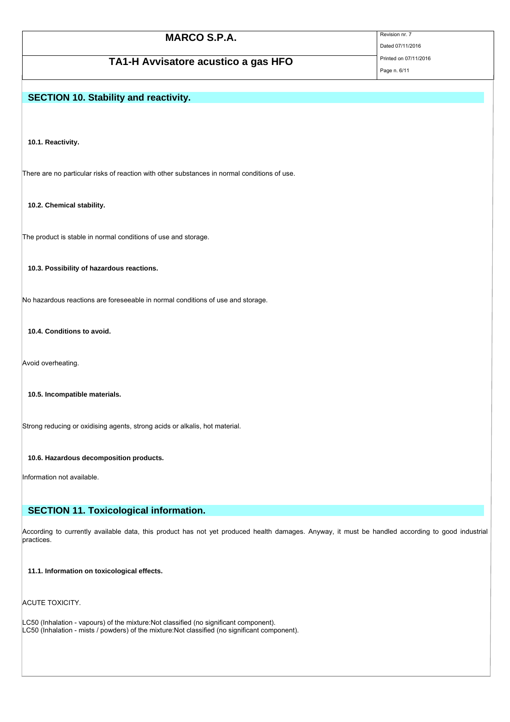| <b>MARCO S.P.A.</b>                                                                          | Revision nr. 7<br>Dated 07/11/2016    |
|----------------------------------------------------------------------------------------------|---------------------------------------|
| TA1-H Avvisatore acustico a gas HFO                                                          | Printed on 07/11/2016<br>Page n. 6/11 |
|                                                                                              |                                       |
| <b>SECTION 10. Stability and reactivity.</b>                                                 |                                       |
|                                                                                              |                                       |
|                                                                                              |                                       |
| 10.1. Reactivity.                                                                            |                                       |
|                                                                                              |                                       |
| There are no particular risks of reaction with other substances in normal conditions of use. |                                       |
|                                                                                              |                                       |
| 10.2. Chemical stability.                                                                    |                                       |
|                                                                                              |                                       |
| The product is stable in normal conditions of use and storage.                               |                                       |
|                                                                                              |                                       |
| 10.3. Possibility of hazardous reactions.                                                    |                                       |
|                                                                                              |                                       |
| No hazardous reactions are foreseeable in normal conditions of use and storage.              |                                       |
|                                                                                              |                                       |
| 10.4. Conditions to avoid.                                                                   |                                       |
|                                                                                              |                                       |
| Avoid overheating.                                                                           |                                       |

**10.5. Incompatible materials.**

Strong reducing or oxidising agents, strong acids or alkalis, hot material.

**10.6. Hazardous decomposition products.**

Information not available.

### **SECTION 11. Toxicological information.**

According to currently available data, this product has not yet produced health damages. Anyway, it must be handled according to good industrial practices.

**11.1. Information on toxicological effects.**

ACUTE TOXICITY.

LC50 (Inhalation - vapours) of the mixture:Not classified (no significant component). LC50 (Inhalation - mists / powders) of the mixture:Not classified (no significant component).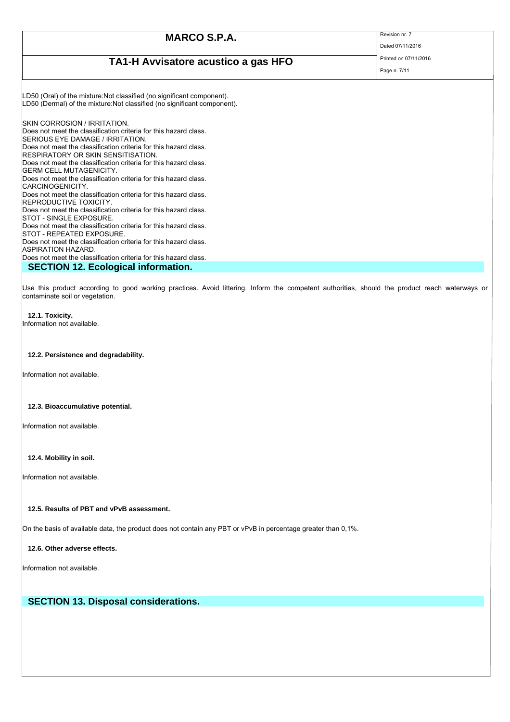| <b>MARCO S.P.A.</b>                                                                    | Revision nr. 7        |
|----------------------------------------------------------------------------------------|-----------------------|
|                                                                                        | Dated 07/11/2016      |
| TA1-H Avvisatore acustico a gas HFO                                                    | Printed on 07/11/2016 |
|                                                                                        | Page n. 7/11          |
| LD50 (Oral) of the mixture: Not classified (no significant component).                 |                       |
| LD50 (Dermal) of the mixture: Not classified (no significant component).               |                       |
| SKIN CORROSION / IRRITATION.                                                           |                       |
| Does not meet the classification criteria for this hazard class.                       |                       |
| SERIOUS EYE DAMAGE / IRRITATION.                                                       |                       |
| Does not meet the classification criteria for this hazard class.                       |                       |
| <b>RESPIRATORY OR SKIN SENSITISATION.</b>                                              |                       |
| Does not meet the classification criteria for this hazard class.                       |                       |
| <b>GERM CELL MUTAGENICITY.</b>                                                         |                       |
| Does not meet the classification criteria for this hazard class.                       |                       |
| CARCINOGENICITY.                                                                       |                       |
| Does not meet the classification criteria for this hazard class.                       |                       |
| REPRODUCTIVE TOXICITY.                                                                 |                       |
| Does not meet the classification criteria for this hazard class.                       |                       |
| ISTOT - SINGLE EXPOSURE.                                                               |                       |
| Does not meet the classification criteria for this hazard class.                       |                       |
| <b>STOT - REPEATED EXPOSURE.</b>                                                       |                       |
| Does not meet the classification criteria for this hazard class.<br>ASPIRATION HAZARD. |                       |
| Does not meet the classification criteria for this hazard class.                       |                       |
| <b>SECTION 12. Ecological information.</b>                                             |                       |

Use this product according to good working practices. Avoid littering. Inform the competent authorities, should the product reach waterways or contaminate soil or vegetation.

**12.1. Toxicity.** Information not available.

### **12.2. Persistence and degradability.**

Information not available.

### **12.3. Bioaccumulative potential.**

Information not available.

**12.4. Mobility in soil.**

Information not available.

### **12.5. Results of PBT and vPvB assessment.**

On the basis of available data, the product does not contain any PBT or vPvB in percentage greater than 0,1%.

### **12.6. Other adverse effects.**

Information not available.

### **SECTION 13. Disposal considerations.**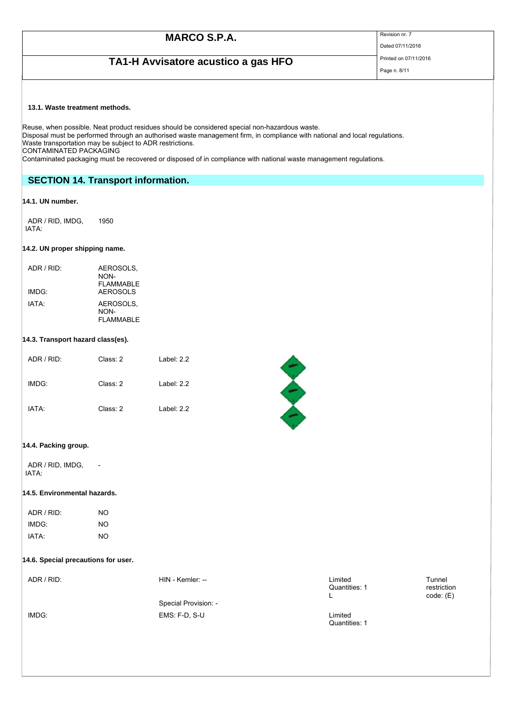TA1-H Avvisatore acustico a gas HFO<br>Printed on 07/11/2016

Dated 07/11/2016

### Page n. 8/11

#### **13.1. Waste treatment methods.**

Reuse, when possible. Neat product residues should be considered special non-hazardous waste. Disposal must be performed through an authorised waste management firm, in compliance with national and local regulations. Waste transportation may be subject to ADR restrictions. CONTAMINATED PACKAGING

Contaminated packaging must be recovered or disposed of in compliance with national waste management regulations.

### **SECTION 14. Transport information.**

### **14.1. UN number.**

ADR / RID, IMDG, IATA: 1950

### **14.2. UN proper shipping name.**

| ADR/RID     | AEROSOLS.<br>NON-                |
|-------------|----------------------------------|
| IMDG:       | FI AMMARI F<br>AFROSOLS          |
| <b>IATA</b> | AEROSOLS.<br>NON-<br>FI AMMARI F |

#### **14.3. Transport hazard class(es).**

| ADR / RID: | Class: 2 | Label: $2.2$ |
|------------|----------|--------------|
| IMDG:      | Class: 2 | Label: $2.2$ |
| IATA:      | Class: 2 | Label: $2.2$ |

-



### **14.4. Packing group.**

ADR / RID, IMDG, IATA:

### **14.5. Environmental hazards.**

| ADR/RID'    | NΟ |
|-------------|----|
| IMDG:       | NΟ |
| <b>IATA</b> | NΟ |

#### **14.6. Special precautions for user.**

ADR / RID: Limited Quantities: 1  $\mathbf{L}$ Tunnel restriction code: (E) Special Provision: -<br>
IMDG:<br>
EMS: F-D, S-U EMS: F-D, S-U Limited Quantities: 1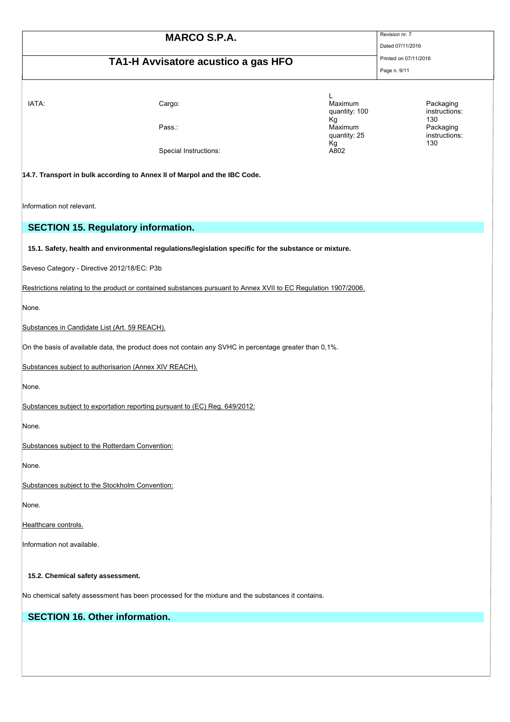|                                                        | <b>MARCO S.P.A.</b>                                                                                             |                               | Revision nr. 7                    |  |  |  |
|--------------------------------------------------------|-----------------------------------------------------------------------------------------------------------------|-------------------------------|-----------------------------------|--|--|--|
|                                                        |                                                                                                                 |                               | Dated 07/11/2016                  |  |  |  |
|                                                        | TA1-H Avvisatore acustico a gas HFO                                                                             |                               | Printed on 07/11/2016             |  |  |  |
|                                                        |                                                                                                                 |                               | Page n. 9/11                      |  |  |  |
|                                                        |                                                                                                                 |                               |                                   |  |  |  |
| IATA:                                                  | Cargo:                                                                                                          | L<br>Maximum<br>quantity: 100 | Packaging<br>instructions:        |  |  |  |
|                                                        | Pass:                                                                                                           | Кg<br>Maximum<br>quantity: 25 | 130<br>Packaging<br>instructions: |  |  |  |
|                                                        | Special Instructions:                                                                                           | Кg<br>A802                    | 130                               |  |  |  |
|                                                        | 14.7. Transport in bulk according to Annex II of Marpol and the IBC Code.                                       |                               |                                   |  |  |  |
| Information not relevant.                              |                                                                                                                 |                               |                                   |  |  |  |
|                                                        | <b>SECTION 15. Regulatory information.</b>                                                                      |                               |                                   |  |  |  |
|                                                        | 15.1. Safety, health and environmental regulations/legislation specific for the substance or mixture.           |                               |                                   |  |  |  |
| Seveso Category - Directive 2012/18/EC: P3b            |                                                                                                                 |                               |                                   |  |  |  |
|                                                        | Restrictions relating to the product or contained substances pursuant to Annex XVII to EC Regulation 1907/2006. |                               |                                   |  |  |  |
| None.                                                  |                                                                                                                 |                               |                                   |  |  |  |
|                                                        | Substances in Candidate List (Art. 59 REACH).                                                                   |                               |                                   |  |  |  |
|                                                        | On the basis of available data, the product does not contain any SVHC in percentage greater than 0,1%.          |                               |                                   |  |  |  |
| Substances subject to authorisarion (Annex XIV REACH). |                                                                                                                 |                               |                                   |  |  |  |
| None.                                                  |                                                                                                                 |                               |                                   |  |  |  |
|                                                        | Substances subject to exportation reporting pursuant to (EC) Reg. 649/2012:                                     |                               |                                   |  |  |  |
| None.                                                  |                                                                                                                 |                               |                                   |  |  |  |
| Substances subject to the Rotterdam Convention:        |                                                                                                                 |                               |                                   |  |  |  |
| None.                                                  |                                                                                                                 |                               |                                   |  |  |  |
| Substances subject to the Stockholm Convention:        |                                                                                                                 |                               |                                   |  |  |  |
| None.                                                  |                                                                                                                 |                               |                                   |  |  |  |
| Healthcare controls.                                   |                                                                                                                 |                               |                                   |  |  |  |
| Information not available.                             |                                                                                                                 |                               |                                   |  |  |  |
| 15.2. Chemical safety assessment.                      |                                                                                                                 |                               |                                   |  |  |  |
|                                                        | No chemical safety assessment has been processed for the mixture and the substances it contains.                |                               |                                   |  |  |  |

## **SECTION 16. Other information.**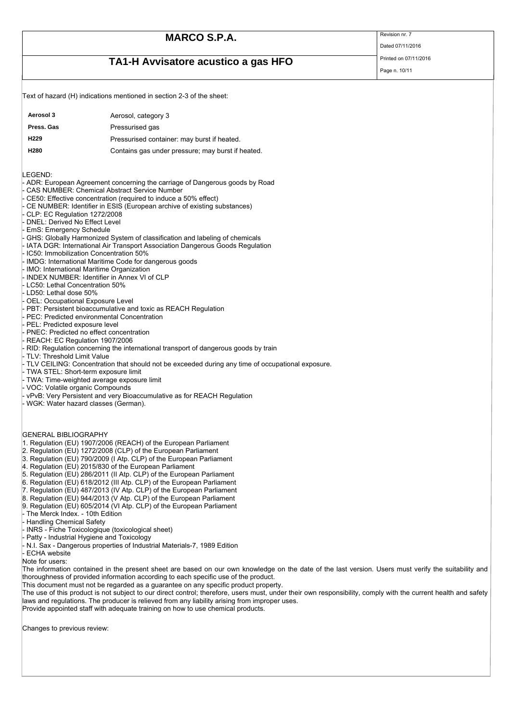# **TA1-H Avvisatore acustico a gas HFO**<br>Printed on 07/11/2016

Text of hazard (H) indications mentioned in section 2-3 of the sheet:

**Aerosol 3** Aerosol, category 3 **Press. Gas** Pressurised gas

Dated 07/11/2016

Page n. 10/11

| H <sub>229</sub>                                                                                                                                                                                                                                                                                                                                                                                                                             |                                                                                                                                                                                                                                                                                                                                                                                                                                                                                                                                                                                                                                                                                                                                                                                                                                                                                                                                                                                                                                              | Pressurised container: may burst if heated.       |                                                                                                    |  |
|----------------------------------------------------------------------------------------------------------------------------------------------------------------------------------------------------------------------------------------------------------------------------------------------------------------------------------------------------------------------------------------------------------------------------------------------|----------------------------------------------------------------------------------------------------------------------------------------------------------------------------------------------------------------------------------------------------------------------------------------------------------------------------------------------------------------------------------------------------------------------------------------------------------------------------------------------------------------------------------------------------------------------------------------------------------------------------------------------------------------------------------------------------------------------------------------------------------------------------------------------------------------------------------------------------------------------------------------------------------------------------------------------------------------------------------------------------------------------------------------------|---------------------------------------------------|----------------------------------------------------------------------------------------------------|--|
| H280                                                                                                                                                                                                                                                                                                                                                                                                                                         |                                                                                                                                                                                                                                                                                                                                                                                                                                                                                                                                                                                                                                                                                                                                                                                                                                                                                                                                                                                                                                              | Contains gas under pressure; may burst if heated. |                                                                                                    |  |
| LEGEND:<br>- CLP: EC Regulation 1272/2008<br>- DNEL: Derived No Effect Level<br>- EmS: Emergency Schedule<br>- LC50: Lethal Concentration 50%<br>- LD50: Lethal dose 50%<br>- OEL: Occupational Exposure Level<br>- PEL: Predicted exposure level<br>- REACH: EC Regulation 1907/2006<br>- TLV: Threshold Limit Value<br>- TWA STEL: Short-term exposure limit<br>- VOC: Volatile organic Compounds<br>- WGK: Water hazard classes (German). | - ADR: European Agreement concerning the carriage of Dangerous goods by Road<br>- CAS NUMBER: Chemical Abstract Service Number<br>- CE50: Effective concentration (required to induce a 50% effect)<br>- CE NUMBER: Identifier in ESIS (European archive of existing substances)<br>- GHS: Globally Harmonized System of classification and labeling of chemicals<br>- IATA DGR: International Air Transport Association Dangerous Goods Regulation<br>- IC50: Immobilization Concentration 50%<br>- IMDG: International Maritime Code for dangerous goods<br>- IMO: International Maritime Organization<br>- INDEX NUMBER: Identifier in Annex VI of CLP<br>- PBT: Persistent bioaccumulative and toxic as REACH Regulation<br>- PEC: Predicted environmental Concentration<br>- PNEC: Predicted no effect concentration<br>- RID: Regulation concerning the international transport of dangerous goods by train<br>- TWA: Time-weighted average exposure limit<br>- vPvB: Very Persistent and very Bioaccumulative as for REACH Regulation |                                                   | - TLV CEILING: Concentration that should not be exceeded during any time of occupational exposure. |  |
| GENERAL BIBLIOGRAPHY<br>- The Merck Index. - 10th Edition<br>. Handling Chamical Safaty                                                                                                                                                                                                                                                                                                                                                      | 1. Regulation (EU) 1907/2006 (REACH) of the European Parliament<br>2. Regulation (EU) 1272/2008 (CLP) of the European Parliament<br>3. Regulation (EU) 790/2009 (I Atp. CLP) of the European Parliament<br>4. Regulation (EU) 2015/830 of the European Parliament<br>5. Regulation (EU) 286/2011 (II Atp. CLP) of the European Parliament<br>6. Regulation (EU) 618/2012 (III Atp. CLP) of the European Parliament<br>7. Regulation (EU) 487/2013 (IV Atp. CLP) of the European Parliament<br>8. Regulation (EU) 944/2013 (V Atp. CLP) of the European Parliament<br>9. Regulation (EU) 605/2014 (VI Atp. CLP) of the European Parliament                                                                                                                                                                                                                                                                                                                                                                                                    |                                                   |                                                                                                    |  |

- Handling Chemical Safety
- INRS Fiche Toxicologique (toxicological sheet)
- Patty Industrial Hygiene and Toxicology - N.I. Sax - Dangerous properties of Industrial Materials-7, 1989 Edition
- ECHA website

Note for users:

The information contained in the present sheet are based on our own knowledge on the date of the last version. Users must verify the suitability and thoroughness of provided information according to each specific use of the product.

This document must not be regarded as a guarantee on any specific product property.

The use of this product is not subject to our direct control; therefore, users must, under their own responsibility, comply with the current health and safety laws and regulations. The producer is relieved from any liability arising from improper uses.

Provide appointed staff with adequate training on how to use chemical products.

Changes to previous review: